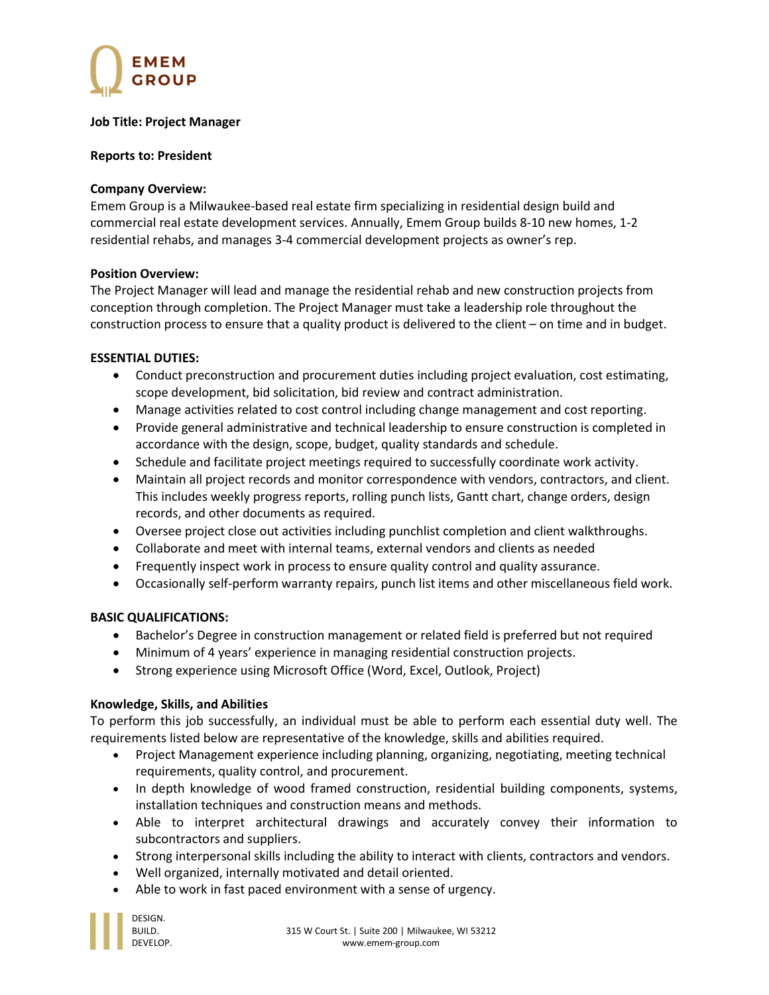

#### Job Title: Project Manager

## Reports to: President

## Company Overview:

Emem Group is a Milwaukee-based real estate firm specializing in residential design build and commercial real estate development services. Annually, Emem Group builds 8-10 new homes, 1-2 residential rehabs, and manages 3-4 commercial development projects as owner's rep.

# Position Overview:

The Project Manager will lead and manage the residential rehab and new construction projects from conception through completion. The Project Manager must take a leadership role throughout the construction process to ensure that a quality product is delivered to the client – on time and in budget.

### ESSENTIAL DUTIES:

- Conduct preconstruction and procurement duties including project evaluation, cost estimating, scope development, bid solicitation, bid review and contract administration.
- Manage activities related to cost control including change management and cost reporting.
- Provide general administrative and technical leadership to ensure construction is completed in accordance with the design, scope, budget, quality standards and schedule.
- Schedule and facilitate project meetings required to successfully coordinate work activity.
- Maintain all project records and monitor correspondence with vendors, contractors, and client. This includes weekly progress reports, rolling punch lists, Gantt chart, change orders, design records, and other documents as required.
- Oversee project close out activities including punchlist completion and client walkthroughs.
- Collaborate and meet with internal teams, external vendors and clients as needed
- Frequently inspect work in process to ensure quality control and quality assurance.
- Occasionally self-perform warranty repairs, punch list items and other miscellaneous field work.

# BASIC QUALIFICATIONS:

- Bachelor's Degree in construction management or related field is preferred but not required
- Minimum of 4 years' experience in managing residential construction projects.
- Strong experience using Microsoft Office (Word, Excel, Outlook, Project)

# Knowledge, Skills, and Abilities

To perform this job successfully, an individual must be able to perform each essential duty well. The requirements listed below are representative of the knowledge, skills and abilities required.

- Project Management experience including planning, organizing, negotiating, meeting technical requirements, quality control, and procurement.
- In depth knowledge of wood framed construction, residential building components, systems, installation techniques and construction means and methods.
- Able to interpret architectural drawings and accurately convey their information to subcontractors and suppliers.
- Strong interpersonal skills including the ability to interact with clients, contractors and vendors.
- Well organized, internally motivated and detail oriented.
- Able to work in fast paced environment with a sense of urgency.